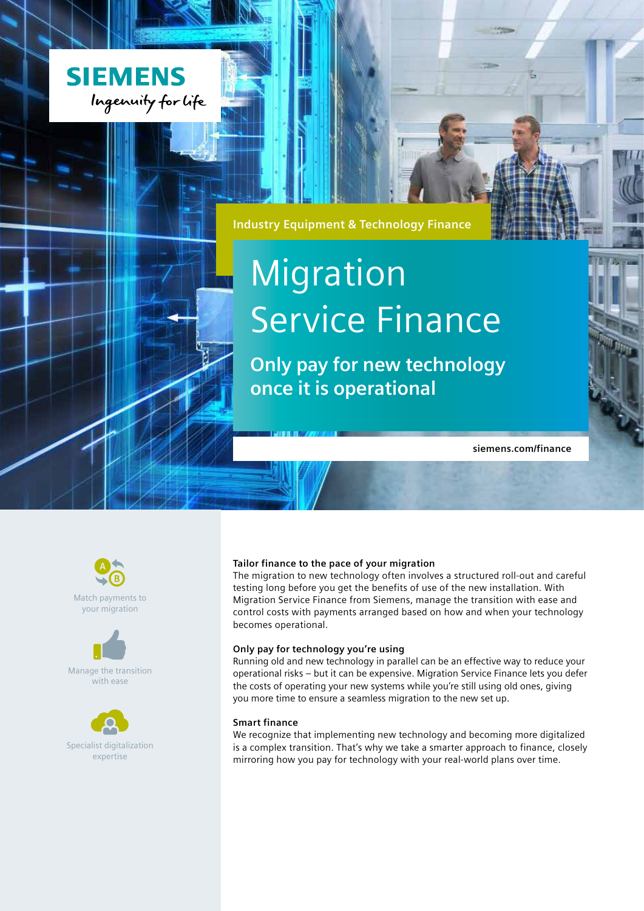

**Industry Equipment & Technology Finance**

# Migration Service Finance

**Only pay for new technology once it is operational**

**siemens.com/finance**



Match payments to your migration



Manage the transition with ease



Specialist digitalization expertise

#### **Tailor finance to the pace of your migration**

The migration to new technology often involves a structured roll-out and careful testing long before you get the benefits of use of the new installation. With Migration Service Finance from Siemens, manage the transition with ease and control costs with payments arranged based on how and when your technology becomes operational.

#### **Only pay for technology you're using**

Running old and new technology in parallel can be an effective way to reduce your operational risks – but it can be expensive. Migration Service Finance lets you defer the costs of operating your new systems while you're still using old ones, giving you more time to ensure a seamless migration to the new set up.

#### **Smart finance**

We recognize that implementing new technology and becoming more digitalized is a complex transition. That's why we take a smarter approach to finance, closely mirroring how you pay for technology with your real-world plans over time.